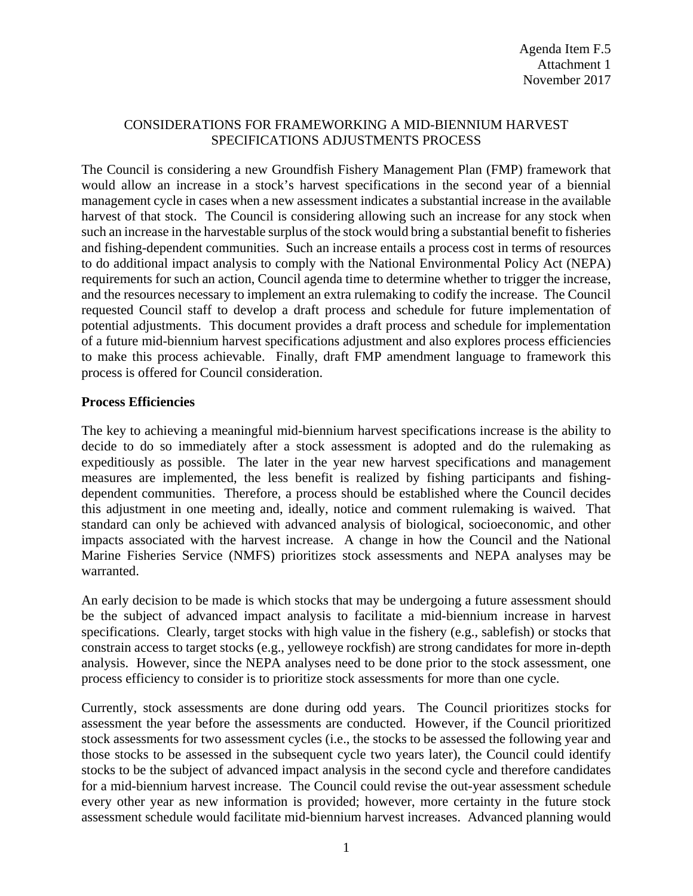#### CONSIDERATIONS FOR FRAMEWORKING A MID-BIENNIUM HARVEST SPECIFICATIONS ADJUSTMENTS PROCESS

The Council is considering a new Groundfish Fishery Management Plan (FMP) framework that would allow an increase in a stock's harvest specifications in the second year of a biennial management cycle in cases when a new assessment indicates a substantial increase in the available harvest of that stock. The Council is considering allowing such an increase for any stock when such an increase in the harvestable surplus of the stock would bring a substantial benefit to fisheries and fishing-dependent communities. Such an increase entails a process cost in terms of resources to do additional impact analysis to comply with the National Environmental Policy Act (NEPA) requirements for such an action, Council agenda time to determine whether to trigger the increase, and the resources necessary to implement an extra rulemaking to codify the increase. The Council requested Council staff to develop a draft process and schedule for future implementation of potential adjustments. This document provides a draft process and schedule for implementation of a future mid-biennium harvest specifications adjustment and also explores process efficiencies to make this process achievable. Finally, draft FMP amendment language to framework this process is offered for Council consideration.

#### **Process Efficiencies**

The key to achieving a meaningful mid-biennium harvest specifications increase is the ability to decide to do so immediately after a stock assessment is adopted and do the rulemaking as expeditiously as possible. The later in the year new harvest specifications and management measures are implemented, the less benefit is realized by fishing participants and fishingdependent communities. Therefore, a process should be established where the Council decides this adjustment in one meeting and, ideally, notice and comment rulemaking is waived. That standard can only be achieved with advanced analysis of biological, socioeconomic, and other impacts associated with the harvest increase. A change in how the Council and the National Marine Fisheries Service (NMFS) prioritizes stock assessments and NEPA analyses may be warranted.

An early decision to be made is which stocks that may be undergoing a future assessment should be the subject of advanced impact analysis to facilitate a mid-biennium increase in harvest specifications. Clearly, target stocks with high value in the fishery (e.g., sablefish) or stocks that constrain access to target stocks (e.g., yelloweye rockfish) are strong candidates for more in-depth analysis. However, since the NEPA analyses need to be done prior to the stock assessment, one process efficiency to consider is to prioritize stock assessments for more than one cycle.

Currently, stock assessments are done during odd years. The Council prioritizes stocks for assessment the year before the assessments are conducted. However, if the Council prioritized stock assessments for two assessment cycles (i.e., the stocks to be assessed the following year and those stocks to be assessed in the subsequent cycle two years later), the Council could identify stocks to be the subject of advanced impact analysis in the second cycle and therefore candidates for a mid-biennium harvest increase. The Council could revise the out-year assessment schedule every other year as new information is provided; however, more certainty in the future stock assessment schedule would facilitate mid-biennium harvest increases. Advanced planning would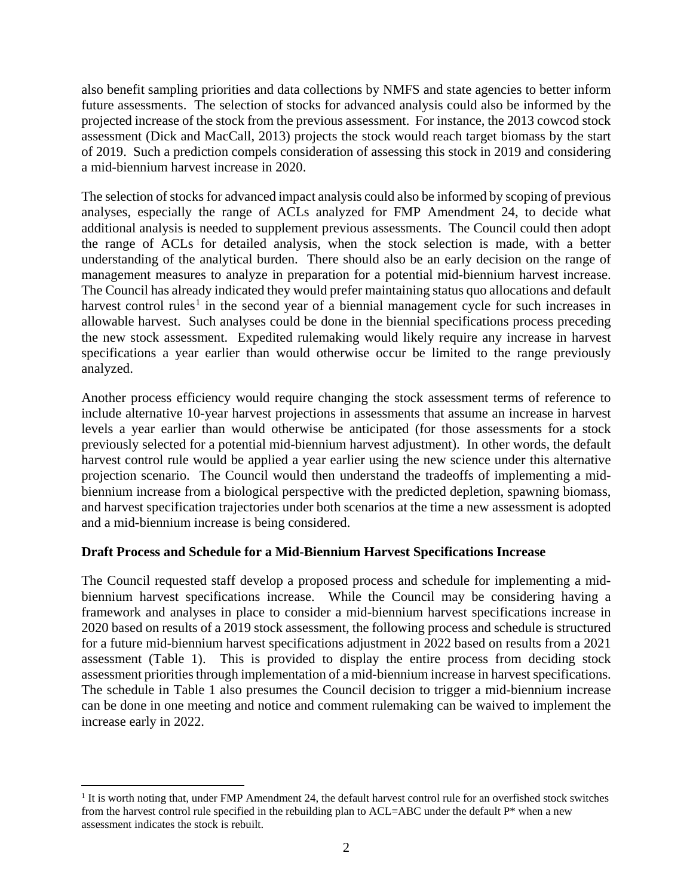also benefit sampling priorities and data collections by NMFS and state agencies to better inform future assessments. The selection of stocks for advanced analysis could also be informed by the projected increase of the stock from the previous assessment. For instance, the 2013 cowcod stock assessment (Dick and MacCall, 2013) projects the stock would reach target biomass by the start of 2019. Such a prediction compels consideration of assessing this stock in 2019 and considering a mid-biennium harvest increase in 2020.

The selection of stocks for advanced impact analysis could also be informed by scoping of previous analyses, especially the range of ACLs analyzed for FMP Amendment 24, to decide what additional analysis is needed to supplement previous assessments. The Council could then adopt the range of ACLs for detailed analysis, when the stock selection is made, with a better understanding of the analytical burden. There should also be an early decision on the range of management measures to analyze in preparation for a potential mid-biennium harvest increase. The Council has already indicated they would prefer maintaining status quo allocations and default harvest control rules<sup>[1](#page-1-0)</sup> in the second year of a biennial management cycle for such increases in allowable harvest. Such analyses could be done in the biennial specifications process preceding the new stock assessment. Expedited rulemaking would likely require any increase in harvest specifications a year earlier than would otherwise occur be limited to the range previously analyzed.

Another process efficiency would require changing the stock assessment terms of reference to include alternative 10-year harvest projections in assessments that assume an increase in harvest levels a year earlier than would otherwise be anticipated (for those assessments for a stock previously selected for a potential mid-biennium harvest adjustment). In other words, the default harvest control rule would be applied a year earlier using the new science under this alternative projection scenario. The Council would then understand the tradeoffs of implementing a midbiennium increase from a biological perspective with the predicted depletion, spawning biomass, and harvest specification trajectories under both scenarios at the time a new assessment is adopted and a mid-biennium increase is being considered.

# **Draft Process and Schedule for a Mid-Biennium Harvest Specifications Increase**

The Council requested staff develop a proposed process and schedule for implementing a midbiennium harvest specifications increase. While the Council may be considering having a framework and analyses in place to consider a mid-biennium harvest specifications increase in 2020 based on results of a 2019 stock assessment, the following process and schedule is structured for a future mid-biennium harvest specifications adjustment in 2022 based on results from a 2021 assessment [\(Table 1\)](#page-2-0). This is provided to display the entire process from deciding stock assessment priorities through implementation of a mid-biennium increase in harvest specifications. The schedule in [Table 1](#page-2-0) also presumes the Council decision to trigger a mid-biennium increase can be done in one meeting and notice and comment rulemaking can be waived to implement the increase early in 2022.

<span id="page-1-0"></span> $<sup>1</sup>$  It is worth noting that, under FMP Amendment 24, the default harvest control rule for an overfished stock switches</sup> from the harvest control rule specified in the rebuilding plan to ACL=ABC under the default P\* when a new assessment indicates the stock is rebuilt.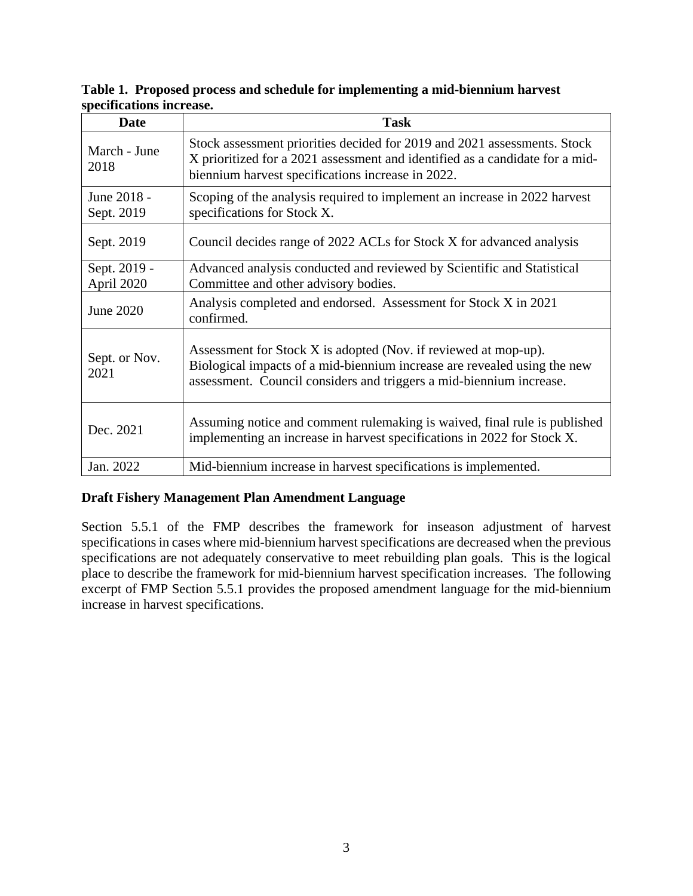| Date                       | <b>Task</b>                                                                                                                                                                                                        |
|----------------------------|--------------------------------------------------------------------------------------------------------------------------------------------------------------------------------------------------------------------|
| March - June<br>2018       | Stock assessment priorities decided for 2019 and 2021 assessments. Stock<br>X prioritized for a 2021 assessment and identified as a candidate for a mid-<br>biennium harvest specifications increase in 2022.      |
| June 2018 -<br>Sept. 2019  | Scoping of the analysis required to implement an increase in 2022 harvest<br>specifications for Stock X.                                                                                                           |
| Sept. 2019                 | Council decides range of 2022 ACLs for Stock X for advanced analysis                                                                                                                                               |
| Sept. 2019 -<br>April 2020 | Advanced analysis conducted and reviewed by Scientific and Statistical<br>Committee and other advisory bodies.                                                                                                     |
| June 2020                  | Analysis completed and endorsed. Assessment for Stock X in 2021<br>confirmed.                                                                                                                                      |
| Sept. or Nov.<br>2021      | Assessment for Stock X is adopted (Nov. if reviewed at mop-up).<br>Biological impacts of a mid-biennium increase are revealed using the new<br>assessment. Council considers and triggers a mid-biennium increase. |
| Dec. 2021                  | Assuming notice and comment rulemaking is waived, final rule is published<br>implementing an increase in harvest specifications in 2022 for Stock X.                                                               |
| Jan. 2022                  | Mid-biennium increase in harvest specifications is implemented.                                                                                                                                                    |

<span id="page-2-0"></span>**Table 1. Proposed process and schedule for implementing a mid-biennium harvest specifications increase.**

# **Draft Fishery Management Plan Amendment Language**

Section 5.5.1 of the FMP describes the framework for inseason adjustment of harvest specifications in cases where mid-biennium harvest specifications are decreased when the previous specifications are not adequately conservative to meet rebuilding plan goals. This is the logical place to describe the framework for mid-biennium harvest specification increases. The following excerpt of FMP Section 5.5.1 provides the proposed amendment language for the mid-biennium increase in harvest specifications.